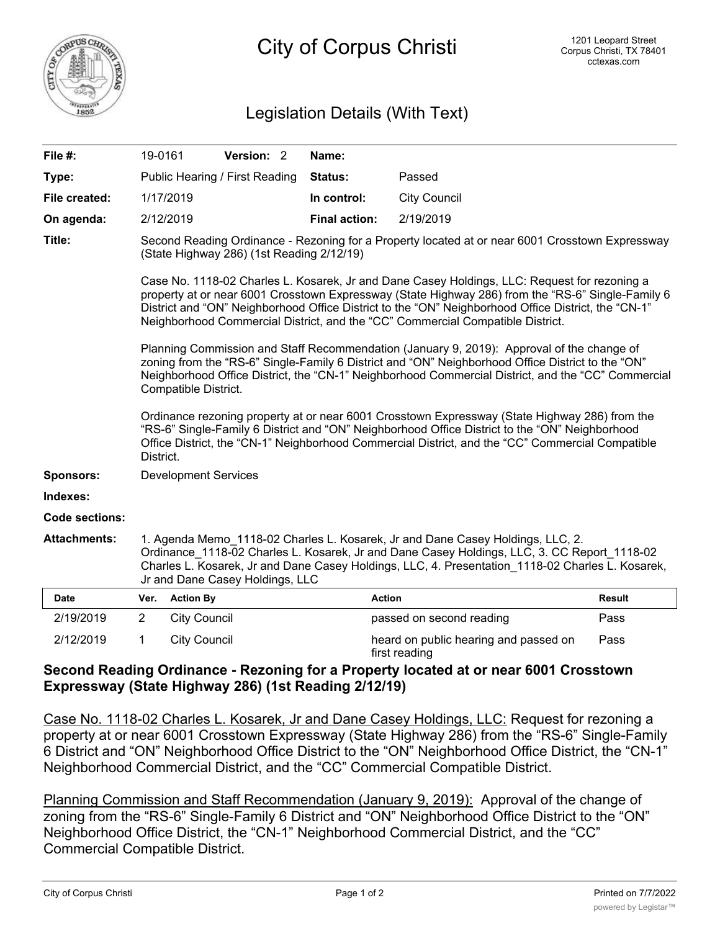

## Legislation Details (With Text)

| File #:             | 19-0161                                                                                                                                                                                                                                                                                                                                                                                    |                             | Version: 2 |  | Name:                |                                                        |               |
|---------------------|--------------------------------------------------------------------------------------------------------------------------------------------------------------------------------------------------------------------------------------------------------------------------------------------------------------------------------------------------------------------------------------------|-----------------------------|------------|--|----------------------|--------------------------------------------------------|---------------|
| Type:               | Public Hearing / First Reading                                                                                                                                                                                                                                                                                                                                                             |                             |            |  | Status:              | Passed                                                 |               |
| File created:       | 1/17/2019                                                                                                                                                                                                                                                                                                                                                                                  |                             |            |  | In control:          | <b>City Council</b>                                    |               |
| On agenda:          |                                                                                                                                                                                                                                                                                                                                                                                            | 2/12/2019                   |            |  | <b>Final action:</b> | 2/19/2019                                              |               |
| Title:              | Second Reading Ordinance - Rezoning for a Property located at or near 6001 Crosstown Expressway<br>(State Highway 286) (1st Reading 2/12/19)                                                                                                                                                                                                                                               |                             |            |  |                      |                                                        |               |
|                     | Case No. 1118-02 Charles L. Kosarek, Jr and Dane Casey Holdings, LLC: Request for rezoning a<br>property at or near 6001 Crosstown Expressway (State Highway 286) from the "RS-6" Single-Family 6<br>District and "ON" Neighborhood Office District to the "ON" Neighborhood Office District, the "CN-1"<br>Neighborhood Commercial District, and the "CC" Commercial Compatible District. |                             |            |  |                      |                                                        |               |
|                     | Planning Commission and Staff Recommendation (January 9, 2019): Approval of the change of<br>zoning from the "RS-6" Single-Family 6 District and "ON" Neighborhood Office District to the "ON"<br>Neighborhood Office District, the "CN-1" Neighborhood Commercial District, and the "CC" Commercial<br>Compatible District.                                                               |                             |            |  |                      |                                                        |               |
|                     | Ordinance rezoning property at or near 6001 Crosstown Expressway (State Highway 286) from the<br>"RS-6" Single-Family 6 District and "ON" Neighborhood Office District to the "ON" Neighborhood<br>Office District, the "CN-1" Neighborhood Commercial District, and the "CC" Commercial Compatible<br>District.                                                                           |                             |            |  |                      |                                                        |               |
| <b>Sponsors:</b>    |                                                                                                                                                                                                                                                                                                                                                                                            | <b>Development Services</b> |            |  |                      |                                                        |               |
| Indexes:            |                                                                                                                                                                                                                                                                                                                                                                                            |                             |            |  |                      |                                                        |               |
| Code sections:      |                                                                                                                                                                                                                                                                                                                                                                                            |                             |            |  |                      |                                                        |               |
| <b>Attachments:</b> | 1. Agenda Memo 1118-02 Charles L. Kosarek, Jr and Dane Casey Holdings, LLC, 2.<br>Ordinance 1118-02 Charles L. Kosarek, Jr and Dane Casey Holdings, LLC, 3. CC Report 1118-02<br>Charles L. Kosarek, Jr and Dane Casey Holdings, LLC, 4. Presentation 1118-02 Charles L. Kosarek,<br>Jr and Dane Casey Holdings, LLC                                                                       |                             |            |  |                      |                                                        |               |
| <b>Date</b>         |                                                                                                                                                                                                                                                                                                                                                                                            | Ver. Action By              |            |  |                      | <b>Action</b>                                          | <b>Result</b> |
| 2/19/2019           | $\overline{2}$                                                                                                                                                                                                                                                                                                                                                                             | <b>City Council</b>         |            |  |                      | passed on second reading                               | Pass          |
| 2/12/2019           | 1                                                                                                                                                                                                                                                                                                                                                                                          | <b>City Council</b>         |            |  |                      | heard on public hearing and passed on<br>first reading | Pass          |

## **Second Reading Ordinance - Rezoning for a Property located at or near 6001 Crosstown Expressway (State Highway 286) (1st Reading 2/12/19)**

Case No. 1118-02 Charles L. Kosarek, Jr and Dane Casey Holdings, LLC: Request for rezoning a property at or near 6001 Crosstown Expressway (State Highway 286) from the "RS-6" Single-Family 6 District and "ON" Neighborhood Office District to the "ON" Neighborhood Office District, the "CN-1" Neighborhood Commercial District, and the "CC" Commercial Compatible District.

Planning Commission and Staff Recommendation (January 9, 2019): Approval of the change of zoning from the "RS-6" Single-Family 6 District and "ON" Neighborhood Office District to the "ON" Neighborhood Office District, the "CN-1" Neighborhood Commercial District, and the "CC" Commercial Compatible District.